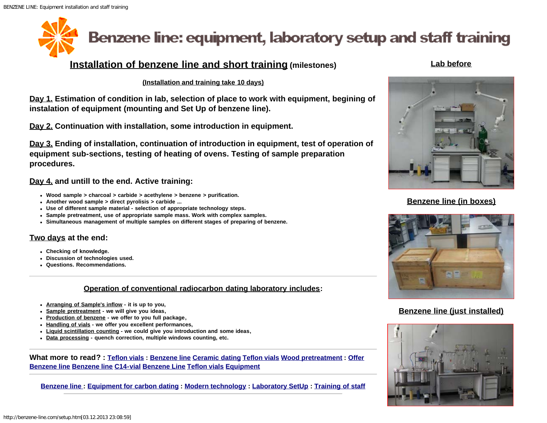# <span id="page-0-0"></span>Benzene line: equipment, laboratory setup and staff training

# **Installation of benzene line and short training (milestones)**

#### **(Installation and training take 10 days)**

**Day 1. Estimation of condition in lab, selection of place to work with equipment, begining of instalation of equipment (mounting and Set Up of benzene line).**

**Day 2. Continuation with installation, some introduction in equipment.**

**Day 3. Ending of installation, continuation of introduction in equipment, test of operation of equipment sub-sections, testing of heating of ovens. Testing of sample preparation procedures.** 

#### **Day 4. and untill to the end. Active training:**

- **Wood sample > charcoal > carbide > acethylene > benzene > purification.**
- **Another wood sample > direct pyrolisis > carbide ...**
- **Use of different sample material selection of appropriate technology steps.**
- **Sample pretreatment, use of appropriate sample mass. Work with complex samples.**
- **Simultaneous management of multiple samples on different stages of preparing of benzene.**

### **Two days at the end:**

- **Checking of knowledge.**
- **Discussion of technologies used.**
- **Questions. Recommendations.**

#### **Operation of conventional radiocarbon dating laboratory includes:**

- **Arranging of Sample's inflow it is up to you,**
- **Sample pretreatment we will give you ideas,**
- **Production of benzene we offer to you full package,**
- **Handling of vials we offer you excellent performances,**
- **Liquid scintillation counting we could give you introduction and some ideas,**
- **Data processing quench correction, multiple windows counting, etc.**

**What more to read? : [Teflon vials](http://benzene-line.com/teflon-vials.html) : [Benzene line](http://benzene-line.com/images/benzene-line.jpg) [Ceramic dating](http://benzene-line.com/images/pottery_ceramic_carbon_dating.jpg) [Teflon vials](http://benzene-line.com/images/teflon-vials.jpg) [Wood pretreatment](http://benzene-line.com/images/wood-treatment-in-soxhlet.jpg) : [Offer](http://benzene-line.com/pdf/benzeneline.pdf) [Benzene line](http://benzene-line.com/pdf/benzeneline.pdf) [Benzene line](http://benzene-line.com/pdf/benzene-line.pdf) [C14-vial](http://benzene-line.com/pdf/1995-c14-vial.pdf) [Benzene Line](http://benzene-line.com/pdf/Benzene Line.pdf) [Teflon vials](http://benzene-line.com/pdf/Teflon vials.pdf) [Equipment](http://benzene-line.com/pdf/Equipment.pdf)**

**[Benzene line :](http://benzene-line.com/) [Equipment for carbon dating](http://benzene-line.com/equipment.htm) : [Modern technology](http://benzene-line.com/technology.htm) : [Laboratory SetUp](#page-0-0) : [Training of staff](http://benzene-line.com/training.htm)**

#### **Lab before**



### **Benzene line (in boxes)**



## **Benzene line (just installed)**